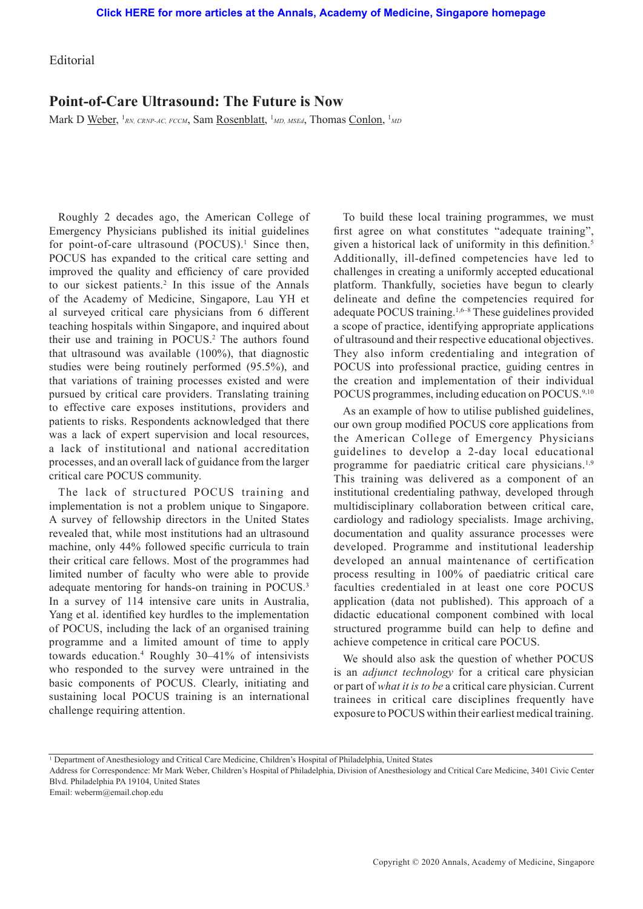Editorial

## **Point-of-Care Ultrasound: The Future is Now**

Mark D <u>Weber</u>, <sup>1</sup>RN, CRNP-AC, FCCM, Sam <u>Rosenblatt</u>, <sup>1</sup>MD, MSEd, Thomas <u>Conlon</u>, <sup>1</sup>MD

Roughly 2 decades ago, the American College of Emergency Physicians published its initial guidelines for point-of-care ultrasound (POCUS).<sup>1</sup> Since then, POCUS has expanded to the critical care setting and improved the quality and efficiency of care provided to our sickest patients.<sup>2</sup> In this issue of the Annals of the Academy of Medicine, Singapore, Lau YH et al surveyed critical care physicians from 6 different teaching hospitals within Singapore, and inquired about their use and training in POCUS.<sup>2</sup> The authors found that ultrasound was available (100%), that diagnostic studies were being routinely performed (95.5%), and that variations of training processes existed and were pursued by critical care providers. Translating training to effective care exposes institutions, providers and patients to risks. Respondents acknowledged that there was a lack of expert supervision and local resources, a lack of institutional and national accreditation processes, and an overall lack of guidance from the larger critical care POCUS community.

The lack of structured POCUS training and implementation is not a problem unique to Singapore. A survey of fellowship directors in the United States revealed that, while most institutions had an ultrasound machine, only 44% followed specific curricula to train their critical care fellows. Most of the programmes had limited number of faculty who were able to provide adequate mentoring for hands-on training in POCUS.<sup>3</sup> In a survey of 114 intensive care units in Australia, Yang et al. identified key hurdles to the implementation of POCUS, including the lack of an organised training programme and a limited amount of time to apply towards education.4 Roughly 30–41% of intensivists who responded to the survey were untrained in the basic components of POCUS. Clearly, initiating and sustaining local POCUS training is an international challenge requiring attention.

To build these local training programmes, we must first agree on what constitutes "adequate training", given a historical lack of uniformity in this definition.<sup>5</sup> Additionally, ill-defined competencies have led to challenges in creating a uniformly accepted educational platform. Thankfully, societies have begun to clearly delineate and define the competencies required for adequate POCUS training.<sup>1,6–8</sup> These guidelines provided a scope of practice, identifying appropriate applications of ultrasound and their respective educational objectives. They also inform credentialing and integration of POCUS into professional practice, guiding centres in the creation and implementation of their individual POCUS programmes, including education on POCUS.<sup>9,10</sup>

As an example of how to utilise published guidelines, our own group modified POCUS core applications from the American College of Emergency Physicians guidelines to develop a 2-day local educational programme for paediatric critical care physicians.<sup>1,9</sup> This training was delivered as a component of an institutional credentialing pathway, developed through multidisciplinary collaboration between critical care, cardiology and radiology specialists. Image archiving, documentation and quality assurance processes were developed. Programme and institutional leadership developed an annual maintenance of certification process resulting in 100% of paediatric critical care faculties credentialed in at least one core POCUS application (data not published). This approach of a didactic educational component combined with local structured programme build can help to define and achieve competence in critical care POCUS.

We should also ask the question of whether POCUS is an *adjunct technology* for a critical care physician or part of *what it is to be* a critical care physician. Current trainees in critical care disciplines frequently have exposure to POCUS within their earliest medical training.

Email: weberm@email.chop.edu

<sup>1</sup> Department of Anesthesiology and Critical Care Medicine, Children's Hospital of Philadelphia, United States

Address for Correspondence: Mr Mark Weber, Children's Hospital of Philadelphia, Division of Anesthesiology and Critical Care Medicine, 3401 Civic Center Blvd. Philadelphia PA 19104, United States